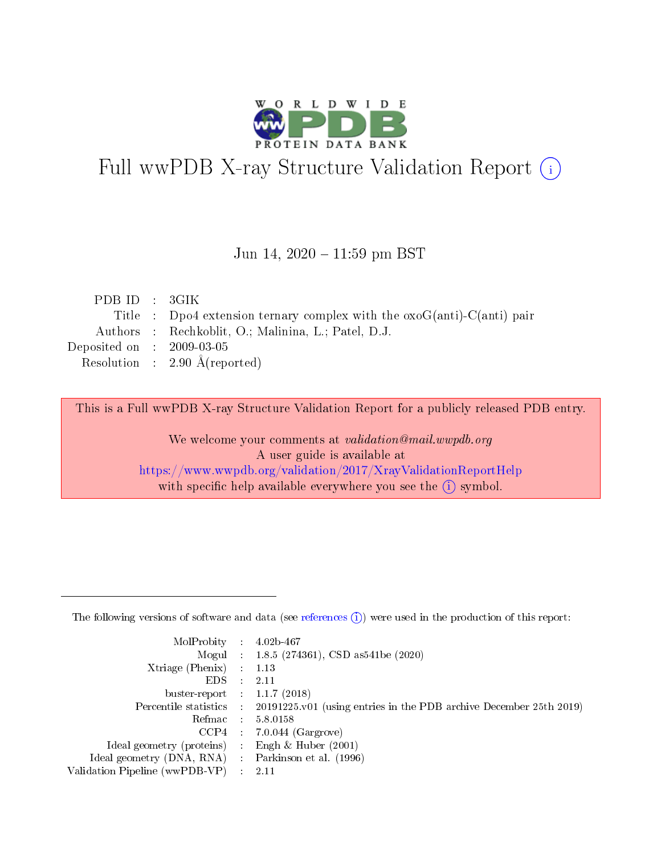

# Full wwPDB X-ray Structure Validation Report (i)

#### Jun 14,  $2020 - 11:59$  pm BST

| PDBID : 3GIK                |                                                                                |
|-----------------------------|--------------------------------------------------------------------------------|
|                             | Title : Dpo4 extension ternary complex with the $\alpha$ oG(anti)-C(anti) pair |
|                             | Authors : Rechkoblit, O.; Malinina, L.; Patel, D.J.                            |
| Deposited on : $2009-03-05$ |                                                                                |
|                             | Resolution : $2.90 \text{ Å}$ (reported)                                       |
|                             |                                                                                |

This is a Full wwPDB X-ray Structure Validation Report for a publicly released PDB entry.

We welcome your comments at validation@mail.wwpdb.org A user guide is available at <https://www.wwpdb.org/validation/2017/XrayValidationReportHelp> with specific help available everywhere you see the  $(i)$  symbol.

The following versions of software and data (see [references](https://www.wwpdb.org/validation/2017/XrayValidationReportHelp#references)  $(1)$ ) were used in the production of this report:

| $MolProbability$ 4.02b-467                          |               |                                                                                            |
|-----------------------------------------------------|---------------|--------------------------------------------------------------------------------------------|
|                                                     |               | Mogul : 1.8.5 (274361), CSD as 541be (2020)                                                |
| $Xtriangle (Phenix)$ : 1.13                         |               |                                                                                            |
| EDS -                                               | $\mathcal{L}$ | 2.11                                                                                       |
| buster-report : $1.1.7(2018)$                       |               |                                                                                            |
|                                                     |               | Percentile statistics : 20191225.v01 (using entries in the PDB archive December 25th 2019) |
| Refmac $5.8.0158$                                   |               |                                                                                            |
|                                                     |               | $CCP4$ : 7.0.044 (Gargrove)                                                                |
| Ideal geometry (proteins) :                         |               | Engh $\&$ Huber (2001)                                                                     |
| Ideal geometry (DNA, RNA) : Parkinson et al. (1996) |               |                                                                                            |
| Validation Pipeline (wwPDB-VP) : 2.11               |               |                                                                                            |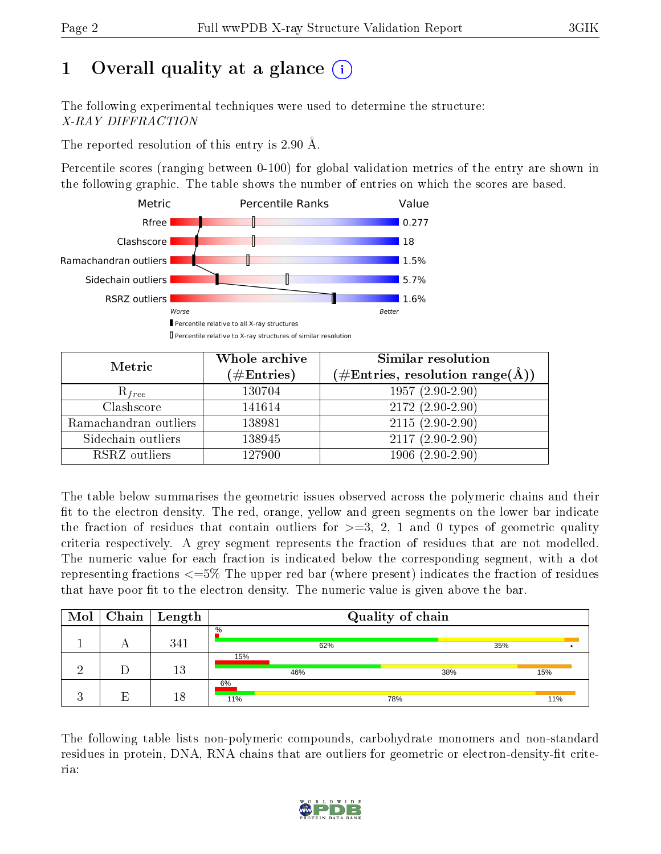# 1 [O](https://www.wwpdb.org/validation/2017/XrayValidationReportHelp#overall_quality)verall quality at a glance  $(i)$

The following experimental techniques were used to determine the structure: X-RAY DIFFRACTION

The reported resolution of this entry is 2.90 Å.

Percentile scores (ranging between 0-100) for global validation metrics of the entry are shown in the following graphic. The table shows the number of entries on which the scores are based.



| Metric                | Whole archive<br>$(\#\text{Entries})$ | Similar resolution<br>$(\#\text{Entries},\,\text{resolution}\,\,\text{range}(\textup{\AA}))$ |
|-----------------------|---------------------------------------|----------------------------------------------------------------------------------------------|
| $R_{free}$            | 130704                                | $1957(2.90-2.90)$                                                                            |
| Clashscore            | 141614                                | $2172(2.90-2.90)$                                                                            |
| Ramachandran outliers | 138981                                | $2115(2.90-2.90)$                                                                            |
| Sidechain outliers    | 138945                                | $2117(2.90-2.90)$                                                                            |
| RSRZ outliers         | 127900                                | $1906(2.90-2.90)$                                                                            |

The table below summarises the geometric issues observed across the polymeric chains and their fit to the electron density. The red, orange, yellow and green segments on the lower bar indicate the fraction of residues that contain outliers for  $>=3, 2, 1$  and 0 types of geometric quality criteria respectively. A grey segment represents the fraction of residues that are not modelled. The numeric value for each fraction is indicated below the corresponding segment, with a dot representing fractions <=5% The upper red bar (where present) indicates the fraction of residues that have poor fit to the electron density. The numeric value is given above the bar.

| Mol |    | Chain   Length |           | Quality of chain |     |     |     |     |  |  |  |
|-----|----|----------------|-----------|------------------|-----|-----|-----|-----|--|--|--|
|     | n  | 341            | $\%$      | 62%              |     |     | 35% |     |  |  |  |
|     |    | 13             | 15%       | 46%              |     | 38% |     | 15% |  |  |  |
|     | F. | 18             | 6%<br>11% |                  | 78% |     |     | 11% |  |  |  |

The following table lists non-polymeric compounds, carbohydrate monomers and non-standard residues in protein, DNA, RNA chains that are outliers for geometric or electron-density-fit criteria:

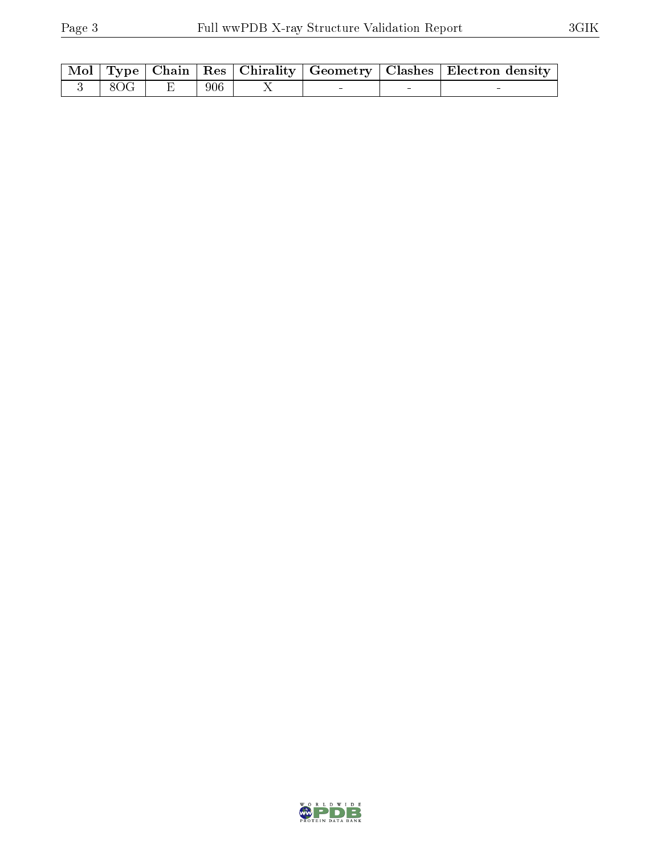|             |       |  | Mol   Type   Chain   Res   Chirality   Geometry   Clashes   Electron density |
|-------------|-------|--|------------------------------------------------------------------------------|
| 3   8OG   E | - 906 |  |                                                                              |

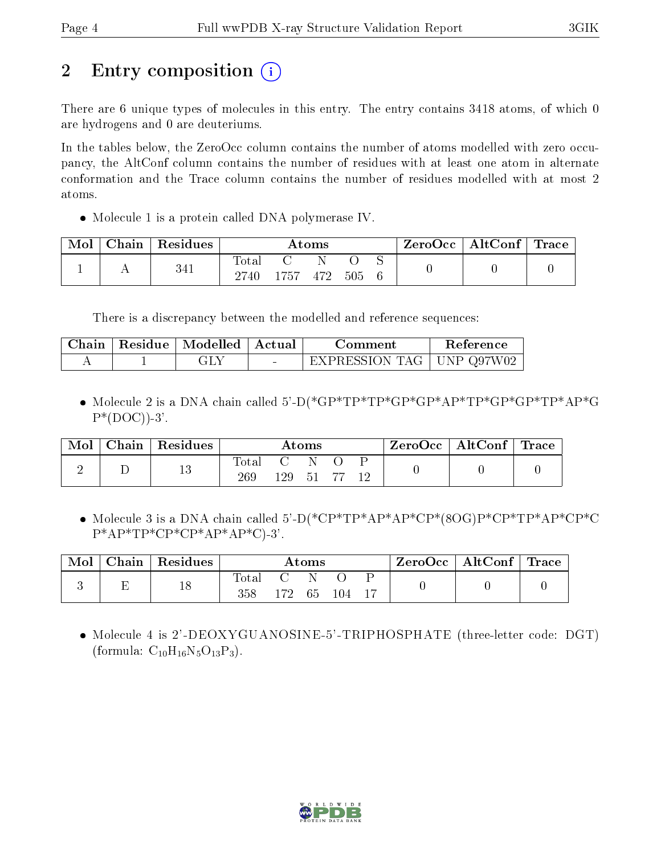# 2 Entry composition (i)

There are 6 unique types of molecules in this entry. The entry contains 3418 atoms, of which 0 are hydrogens and 0 are deuteriums.

In the tables below, the ZeroOcc column contains the number of atoms modelled with zero occupancy, the AltConf column contains the number of residues with at least one atom in alternate conformation and the Trace column contains the number of residues modelled with at most 2 atoms.

• Molecule 1 is a protein called DNA polymerase IV.

| Mol | Chain | Residues | Atoms                |        |     |     |  | $\text{ZeroOcc}$   AltConf   Trace |  |
|-----|-------|----------|----------------------|--------|-----|-----|--|------------------------------------|--|
|     |       | 341      | <b>Total</b><br>2740 | 1757 - | 472 | 505 |  |                                    |  |

There is a discrepancy between the modelled and reference sequences:

| Chain | Residue   Modelled   Actual |                                   | Comment                     | Reference |
|-------|-----------------------------|-----------------------------------|-----------------------------|-----------|
|       | ЛŊ                          | <b>Contract Contract Contract</b> | EXPRESSION TAG   UNP Q97W02 |           |

 Molecule 2 is a DNA chain called 5'-D(\*GP\*TP\*TP\*GP\*GP\*AP\*TP\*GP\*GP\*TP\*AP\*G  $P^*(DOC)$ )-3'.

| Mol | Chain | Residues | Atoms        |     |          |  |  | $ZeroOcc \   \ AltConf \  $ | $^+$ Trace |
|-----|-------|----------|--------------|-----|----------|--|--|-----------------------------|------------|
|     |       | 13       | Total<br>269 | 129 | N<br>-51 |  |  |                             |            |

 Molecule 3 is a DNA chain called 5'-D(\*CP\*TP\*AP\*AP\*CP\*(8OG)P\*CP\*TP\*AP\*CP\*C  $P^*AP^*TP^*CP^*CP^*AP^*AP^*C$ -3'.

| Mol | $\mid$ Chain $\mid$ Residues | Atoms        |                |  |     |  | $ZeroOcc \mid AltConf \mid Trace \mid$ |  |
|-----|------------------------------|--------------|----------------|--|-----|--|----------------------------------------|--|
|     | 18                           | Total<br>358 | $172 \quad 65$ |  | 104 |  |                                        |  |

 Molecule 4 is 2'-DEOXYGUANOSINE-5'-TRIPHOSPHATE (three-letter code: DGT) (formula:  $C_{10}H_{16}N_5O_{13}P_3$ ).

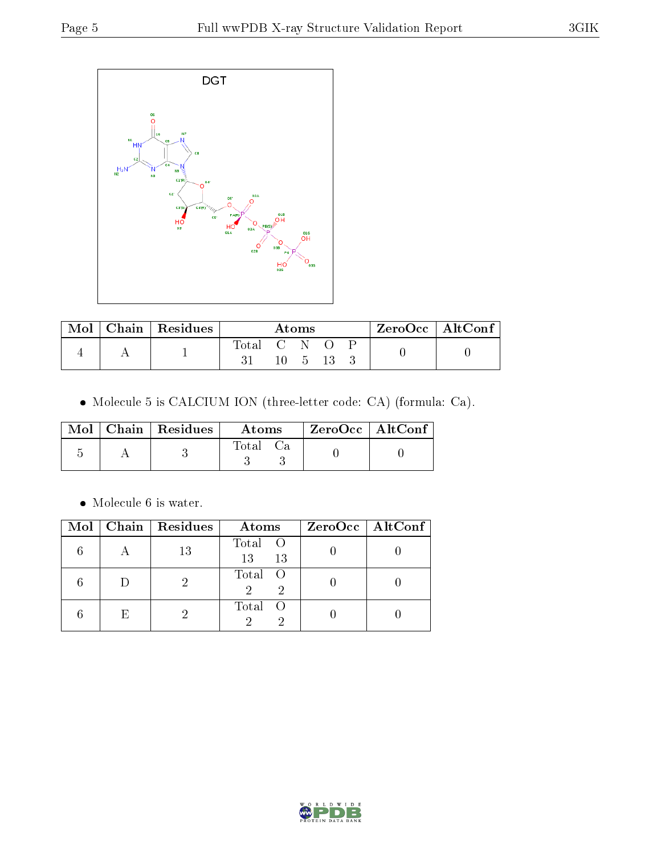

| Mol |  | Chain   Residues | Atoms       |     |  |  |  | $\rm ZeroOcc \mid AltConf$ |  |
|-----|--|------------------|-------------|-----|--|--|--|----------------------------|--|
|     |  |                  | Total C N O |     |  |  |  |                            |  |
|     |  |                  |             | -5. |  |  |  |                            |  |

Molecule 5 is CALCIUM ION (three-letter code: CA) (formula: Ca).

|  | Mol $\vert$ Chain $\vert$ Residues $\vert$ | Atoms            | ' ZeroOcc   AltConf |  |
|--|--------------------------------------------|------------------|---------------------|--|
|  |                                            | $\mathrm{Total}$ |                     |  |

 $\bullet\,$  Molecule 6 is water.

|    | Mol   Chain   Residues | <b>Atoms</b>         | ZeroOcc   AltConf |
|----|------------------------|----------------------|-------------------|
|    | 13                     | Total O<br>13<br>-13 |                   |
|    |                        | Total O<br>2         |                   |
| F, |                        | Total O              |                   |

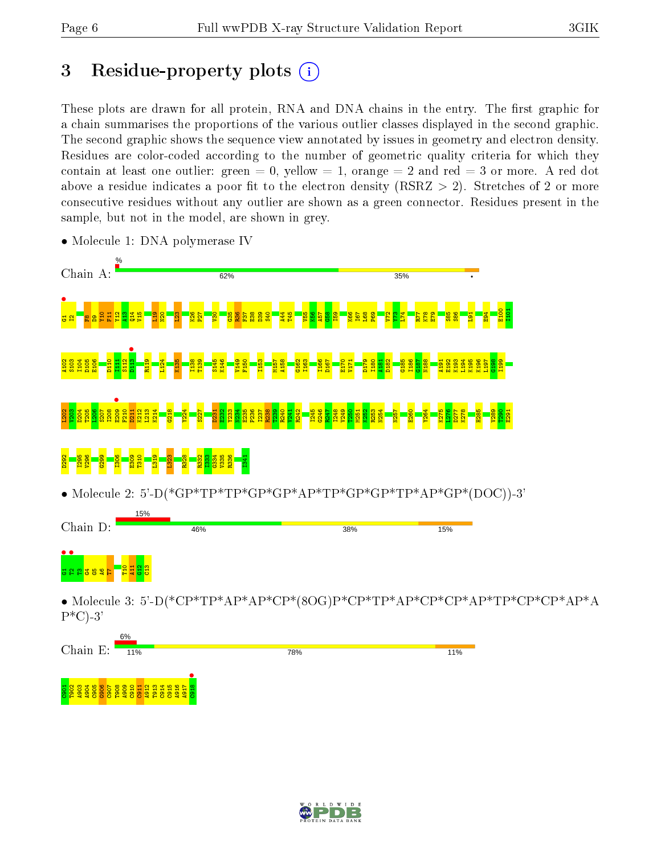$\frac{1}{3}\frac{8}{9}\frac{3}{9}\frac{3}{9}\frac{3}{9}\frac{8}{9}\frac{8}{9}\frac{8}{9}$ 

T908 A909 C910  $\frac{11}{2}$ A912 T913 C914 C915 A916 A917

# 3 Residue-property plots  $(i)$

These plots are drawn for all protein, RNA and DNA chains in the entry. The first graphic for a chain summarises the proportions of the various outlier classes displayed in the second graphic. The second graphic shows the sequence view annotated by issues in geometry and electron density. Residues are color-coded according to the number of geometric quality criteria for which they contain at least one outlier: green  $= 0$ , yellow  $= 1$ , orange  $= 2$  and red  $= 3$  or more. A red dot above a residue indicates a poor fit to the electron density (RSRZ  $> 2$ ). Stretches of 2 or more consecutive residues without any outlier are shown as a green connector. Residues present in the sample, but not in the model, are shown in grey.



• Molecule 1: DNA polymerase IV

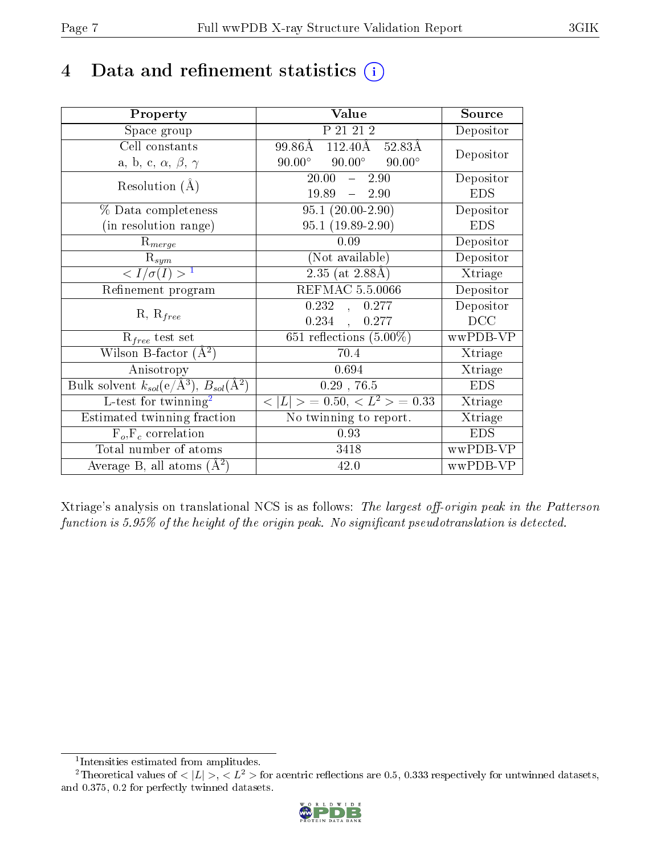# 4 Data and refinement statistics  $(i)$

| Property                                                         | Value                                               | Source     |
|------------------------------------------------------------------|-----------------------------------------------------|------------|
| Space group                                                      | P 21 21 2                                           | Depositor  |
| Cell constants                                                   | 99.86Å 112.40Å 52.83Å                               | Depositor  |
| a, b, c, $\alpha$ , $\beta$ , $\gamma$                           | $90.00^\circ$<br>$90.00^{\circ}$<br>$90.00^{\circ}$ |            |
| Resolution $(A)$                                                 | 20.00<br>$\frac{1}{2}$<br>2.90                      | Depositor  |
|                                                                  | 19.89<br>$-2.90$                                    | <b>EDS</b> |
| % Data completeness                                              | $95.1(20.00-2.90)$                                  | Depositor  |
| (in resolution range)                                            | $95.1(19.89-2.90)$                                  | <b>EDS</b> |
| $R_{merge}$                                                      | 0.09                                                | Depositor  |
| $\mathrm{R}_{sym}$                                               | (Not available)                                     | Depositor  |
| $\langle I/\sigma(I) \rangle^{-1}$                               | $2.35$ (at $2.88\text{\AA}$ )                       | Xtriage    |
| Refinement program                                               | <b>REFMAC 5.5.0066</b>                              | Depositor  |
|                                                                  | 0.232,<br>0.277                                     | Depositor  |
| $R, R_{free}$                                                    | 0.234<br>0.277                                      | DCC        |
| $R_{free}$ test set                                              | $651$ reflections $(5.00\%)$                        | wwPDB-VP   |
| Wilson B-factor $(A^2)$                                          | 70.4                                                | Xtriage    |
| Anisotropy                                                       | 0.694                                               | Xtriage    |
| Bulk solvent $k_{sol}(\text{e}/\text{A}^3), B_{sol}(\text{A}^2)$ | $0.29$ , 76.5                                       | <b>EDS</b> |
| L-test for $\mathrm{twinning}^2$                                 | $< L >$ = 0.50, $< L^2 >$ = 0.33                    | Xtriage    |
| Estimated twinning fraction                                      | $\overline{\text{No}}$ twinning to report.          | Xtriage    |
| $F_o, F_c$ correlation                                           | 0.93                                                | <b>EDS</b> |
| Total number of atoms                                            | 3418                                                | wwPDB-VP   |
| Average B, all atoms $(A^2)$                                     | 42.0                                                | wwPDB-VP   |

Xtriage's analysis on translational NCS is as follows: The largest off-origin peak in the Patterson function is  $5.95\%$  of the height of the origin peak. No significant pseudotranslation is detected.

<sup>&</sup>lt;sup>2</sup>Theoretical values of  $\langle |L| \rangle$ ,  $\langle L^2 \rangle$  for acentric reflections are 0.5, 0.333 respectively for untwinned datasets, and 0.375, 0.2 for perfectly twinned datasets.



<span id="page-6-1"></span><span id="page-6-0"></span><sup>1</sup> Intensities estimated from amplitudes.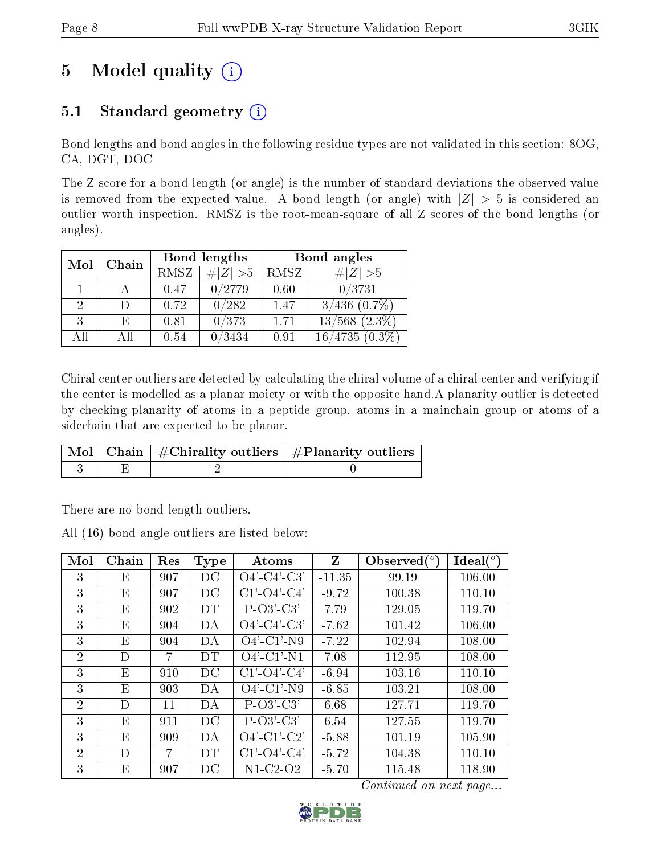# 5 Model quality  $(i)$

## 5.1 Standard geometry  $(i)$

Bond lengths and bond angles in the following residue types are not validated in this section: 8OG, CA, DGT, DOC

The Z score for a bond length (or angle) is the number of standard deviations the observed value is removed from the expected value. A bond length (or angle) with  $|Z| > 5$  is considered an outlier worth inspection. RMSZ is the root-mean-square of all Z scores of the bond lengths (or angles).

|    | Mol<br>Chain | Bond lengths |               | Bond angles |                    |  |
|----|--------------|--------------|---------------|-------------|--------------------|--|
|    |              | RMSZ         | $\# Z  > 5$   | RMSZ        | # $ Z >5$          |  |
|    |              | 0.47         | 0/2779        | 0.60        | 0/3731             |  |
| 2  |              | 0.72         | 0/282         | 1.47        | $3/436$ $(0.7\%)$  |  |
| 3  | E            | 0.81         | 0/373         | 1.71        | $13/568$ $(2.3\%)$ |  |
| ΑĦ | All          | 0.54         | $\sqrt{3434}$ | 0.91        | $16/4735(0.3\%)$   |  |

Chiral center outliers are detected by calculating the chiral volume of a chiral center and verifying if the center is modelled as a planar moiety or with the opposite hand.A planarity outlier is detected by checking planarity of atoms in a peptide group, atoms in a mainchain group or atoms of a sidechain that are expected to be planar.

|  | $\begin{array}{ c c c }\hline \text{Mol} & \text{Chain} & \#\text{Chirality outliers} & \#\text{Planarity outliers} \end{array}$ |
|--|----------------------------------------------------------------------------------------------------------------------------------|
|  |                                                                                                                                  |

There are no bond length outliers.

All (16) bond angle outliers are listed below:

| Mol            | Chain | Res            | Type | Atoms                 | Z        | Observed( | $\text{Ideal}(\textsuperscript{o})$ |
|----------------|-------|----------------|------|-----------------------|----------|-----------|-------------------------------------|
| 3              | E     | 907            | DC   | $O4'$ -C4'-C3'        | $-11.35$ | 99.19     | 106.00                              |
| 3              | Ε     | 907            | DC   | $C1'$ - $O4'$ - $C4'$ | $-9.72$  | 100.38    | 110.10                              |
| 3              | E     | 902            | DT   | $P-O3'-C3'$           | 7.79     | 129.05    | 119.70                              |
| 3              | E     | 904            | DA   | $O4'$ -C4'-C3'        | $-7.62$  | 101.42    | 106.00                              |
| 3              | E     | 904            | DА   | $O4'$ -C1'-N9         | $-7.22$  | 102.94    | 108.00                              |
| $\overline{2}$ | D     | 7              | DT   | $O4'$ -C1'-N1         | 7.08     | 112.95    | 108.00                              |
| 3              | E     | 910            | DC   | $C1'$ - $O4'$ - $C4'$ | $-6.94$  | 103.16    | 110.10                              |
| 3              | E     | 903            | DA   | $O4'$ -C1'-N9         | $-6.85$  | 103.21    | 108.00                              |
| $\overline{2}$ | D     | 11             | DA   | $P-O3'-C3'$           | 6.68     | 127.71    | 119.70                              |
| 3              | E     | 911            | DC   | $P-O3'CO3'$           | 6.54     | 127.55    | 119.70                              |
| 3              | E     | 909            | DA   | $O4'$ -C1'-C2'        | $-5.88$  | 101.19    | 105.90                              |
| $\overline{2}$ | D     | $\overline{7}$ | DT   | $C1'$ - $O4'$ - $C4'$ | $-5.72$  | 104.38    | 110.10                              |
| 3              | E     | 907            | DС   | $N1-C2-O2$            | $-5.70$  | 115.48    | 118.90                              |

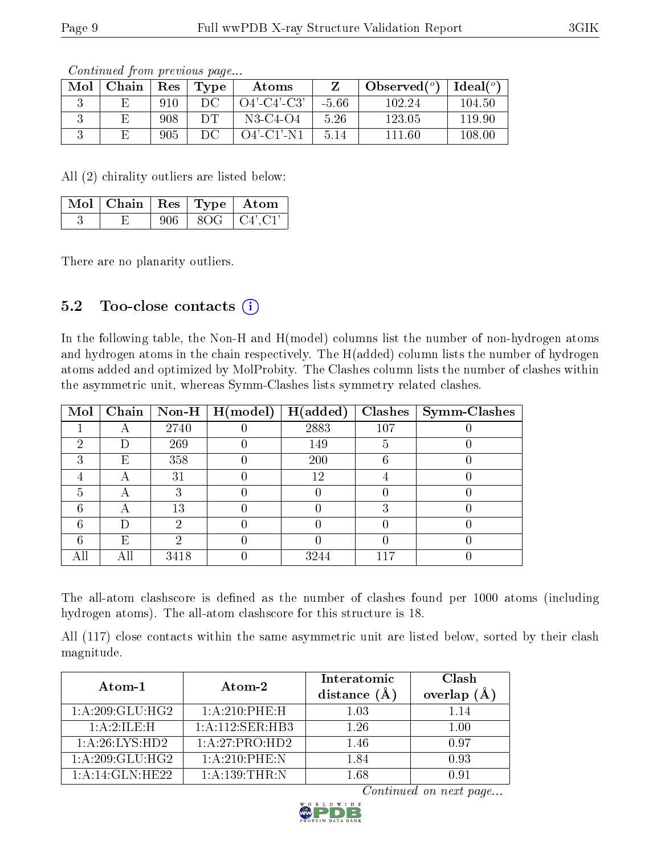| Mol | Chain | Res | Type | Atoms       |         | Observed $(°)$ | $\blacksquare$ Ideal( $^o$ ) |
|-----|-------|-----|------|-------------|---------|----------------|------------------------------|
|     |       | 910 |      | O4'-C4'-C3' | $-5.66$ | 102.24         | 104.50                       |
|     |       | 908 | nт   | N3-C4-O4    | 5.26    | 123.05         | 119.90                       |
|     |       | 905 |      | O4'-C1'-N1  | 5.14    | 111.60         | $108.00\,$                   |

Continued from previous page...

All (2) chirality outliers are listed below:

| $\sqrt{\text{Mol}}$   Chain   Res   Type   Atom |     |                      |
|-------------------------------------------------|-----|----------------------|
|                                                 | 906 | $8OG$ $\mid$ C4'.C1' |

There are no planarity outliers.

### 5.2 Too-close contacts  $(i)$

In the following table, the Non-H and H(model) columns list the number of non-hydrogen atoms and hydrogen atoms in the chain respectively. The H(added) column lists the number of hydrogen atoms added and optimized by MolProbity. The Clashes column lists the number of clashes within the asymmetric unit, whereas Symm-Clashes lists symmetry related clashes.

| $\text{Mol}$ |     |      | Chain   Non-H   $H (model)$ | H(added) |     | $Clashes$   Symm-Clashes |
|--------------|-----|------|-----------------------------|----------|-----|--------------------------|
|              |     | 2740 |                             | 2883     | 107 |                          |
| 2            |     | 269  |                             | 149      | Ð   |                          |
| 3            | E   | 358  |                             | 200      |     |                          |
|              |     | 31   |                             | 12       |     |                          |
| h.           |     |      |                             |          |     |                          |
| հ            |     | 13   |                             |          |     |                          |
|              |     |      |                             |          |     |                          |
|              | E   |      |                             |          |     |                          |
| All          | Аll | 3418 |                             | 3944     |     |                          |

The all-atom clashscore is defined as the number of clashes found per 1000 atoms (including hydrogen atoms). The all-atom clashscore for this structure is 18.

All (117) close contacts within the same asymmetric unit are listed below, sorted by their clash magnitude.

| Atom-1            | Atom-2           | Interatomic<br>distance $(A)$ | Clash<br>overlap<br>(A) |
|-------------------|------------------|-------------------------------|-------------------------|
| 1: A:209: GLU:HG2 | 1: A:210: PHE: H | 1.03                          | 1.14                    |
| 1:A:2:ILE:H       | 1:A:112:SER:HB3  | 1.26                          | 1.00                    |
| 1: A:26: LYS: HD2 | 1:A:27:PRO:HD2   | 1.46                          | 0.97                    |
| 1: A:209: GLU:HG2 | $1:A:210:$ PHE:N | 1.84                          | 0.93                    |
| 1:A:14:GLN:HE22   | 1: A: 139: THR:N | 1.68                          | ገ ባ1                    |

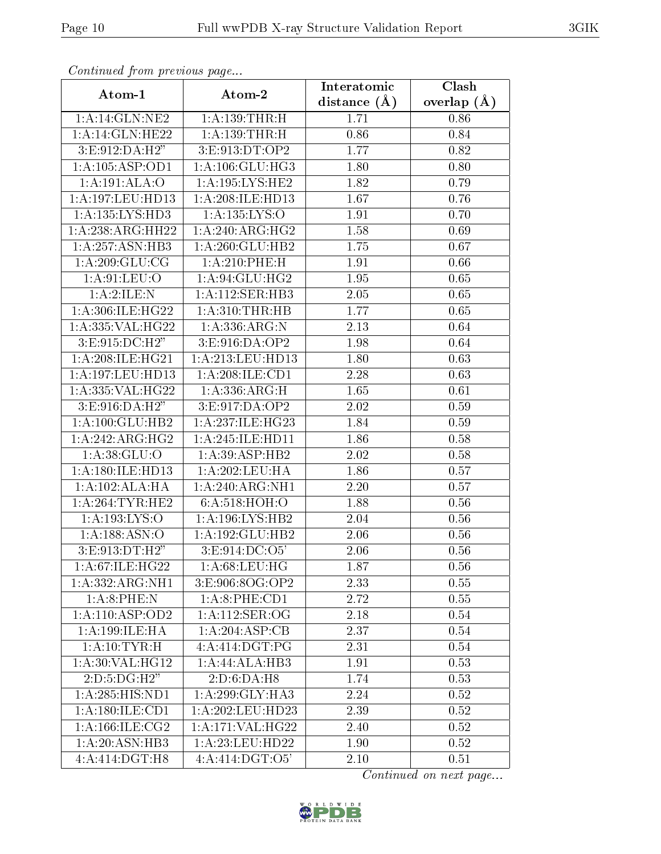| Communica from precious page |                              | Interatomic    | Clash         |
|------------------------------|------------------------------|----------------|---------------|
| Atom-1                       | Atom-2                       | distance $(A)$ | overlap $(A)$ |
| 1:A:14:GLN:NE2               | 1: A: 139: THR:H             | 1.71           | 0.86          |
| 1: A:14: GLN: HE22           | 1:A:139:THR:H                | 0.86           | 0.84          |
| 3:E:912:DA:H2"               | 3:E:913:DT:OP2               | 1.77           | 0.82          |
| 1:A:105:ASP:OD1              | 1: A: 106: GLU: HG3          | 1.80           | 0.80          |
| 1:A:191:ALA:O                | 1:A:195:LYS:HE2              | 1.82           | 0.79          |
| 1:A:197:LEU:HD13             | 1:A:208:ILE:HD13             | 1.67           | 0.76          |
| 1: A: 135: LYS: HD3          | 1: A: 135: LYS: O            | 1.91           | 0.70          |
| 1:A:238:ARG:HH22             | 1: A:240:ARG:HG2             | 1.58           | 0.69          |
| 1:A:257:ASN:HB3              | 1: A:260: GLU:HB2            | 1.75           | 0.67          |
| 1: A:209: GLU:CG             | 1:A:210:PHE:H                | 1.91           | 0.66          |
| 1: A:91: LEU:O               | 1:A:94:GLU:HG2               | 1.95           | 0.65          |
| 1:A:2:ILE:N                  | 1:A:112:SER:HB3              | 2.05           | 0.65          |
| 1:A:306:ILE:HG22             | 1: A:310:THR:HB              | 1.77           | 0.65          |
| 1:A:335:VAL:HG22             | 1: A:336:ARG:N               | 2.13           | 0.64          |
| 3:E:915:DC:H2"               | 3:E:916:DA:OP2               | 1.98           | 0.64          |
| 1:A:208:ILE:HG21             | 1:A:213:LEU:HD13             | 1.80           | 0.63          |
| 1:A:197:LEU:HD13             | 1:A:208:ILE:CD1              | 2.28           | 0.63          |
| 1:A:335:VAL:HG22             | 1: A:336:ARG:H               | 1.65           | 0.61          |
| 3: E: 916: DA: H2"           | 3:E:917:DA:OP2               | 2.02           | 0.59          |
| 1: A:100: GLU:HB2            | 1:A:237:ILE:HG23             | 1.84           | 0.59          |
| 1:A:242:ARG:HG2              | 1:A:245:ILE:HD11             | 1.86           | 0.58          |
| 1: A:38: GLU:O               | 1: A:39: ASP:HB2             | 2.02           | 0.58          |
| 1: A:180: ILE: HD13          | 1: A:202:LEU:HA              | 1.86           | 0.57          |
| 1:A:102:ALA:HA               | 1: A:240:ARG:NH1             | 2.20           | 0.57          |
| 1: A:264:TYR:HE2             | 6: A:518:HOH:O               | 1.88           | 0.56          |
| 1:A:193:LYS:O                | 1: A:196: LYS: HB2           | 2.04           | 0.56          |
| 1: A: 188: ASN: O            | 1:A:192:GLU:HB2              | 2.06           | 0.56          |
| 3:E:913:DT:H2"               | 3: E: 914:DC:O5              | 2.06           | 0.56          |
| 1: A:67: ILE:HG22            | 1: A:68:LEU:HG               | 1.87           | 0.56          |
| 1:A:332:ARG:NH1              | 3:E:906:8OG:OP2              | 2.33           | $0.55\,$      |
| 1:A:8:PHE:N                  | 1:A:8:PHE:CD1                | 2.72           | 0.55          |
| 1:A:110:ASP:OD2              | 1: A: 112: SER: OG           | 2.18           | 0.54          |
| 1: A: 199: ILE: HA           | 1:A:204:ASP:CB               | 2.37           | 0.54          |
| 1: A: 10: TYR:H              | 4:A:414:DGT:PG               | 2.31           | 0.54          |
| 1:A:30:VAL:HG12              | 1:A:44:ALA:HB3               | 1.91           | 0.53          |
| 2:D:5:DG:H2"                 | 2:D:6:DA:H8                  | 1.74           | 0.53          |
| 1:A:285:HIS:ND1              | 1:A:299:GLY:HA3              | 2.24           | 0.52          |
| 1: A: 180: ILE: CD1          | 1:A:202:LEU:HD23             | 2.39           | 0.52          |
| 1: A: 166: ILE: CG2          | 1:A:171:VAL:HG22             | 2.40           | 0.52          |
| 1:A:20:ASN:HB3               | 1:A:23:LEU:HD22              | 1.90           | 0.52          |
| 4:A:414:D <sub>GT:H8</sub>   | $4:A:414: \overline{DGT:O5}$ | 2.10           | 0.51          |

Continued from previous page.

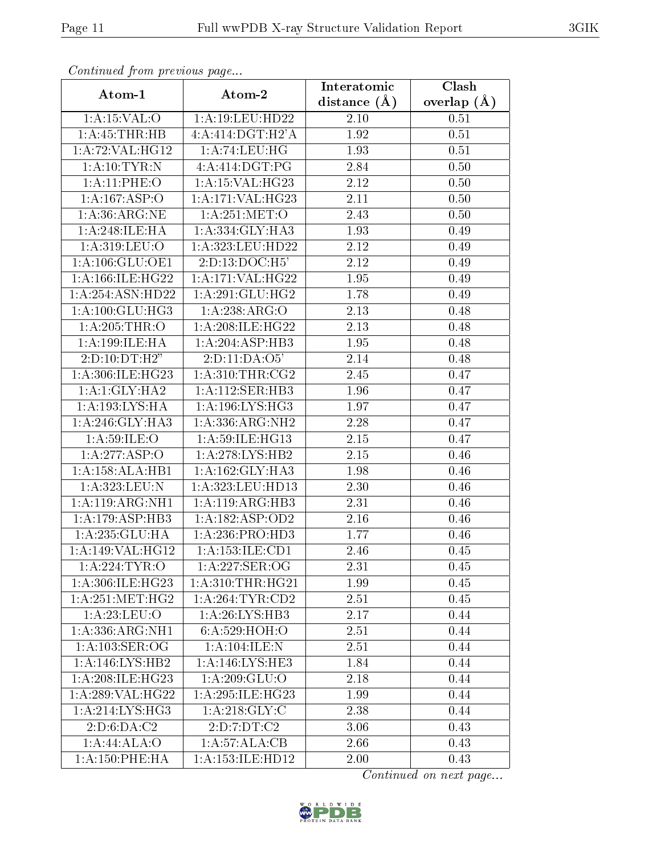| Continuea from previous page<br>Clash<br>Interatomic |                              |                |                 |  |  |  |
|------------------------------------------------------|------------------------------|----------------|-----------------|--|--|--|
| Atom-1                                               | Atom-2                       | distance $(A)$ | overlap $(\AA)$ |  |  |  |
| 1:A:15:VAL:O                                         | 1:A:19:LEU:HD22              | 2.10           | 0.51            |  |  |  |
| 1: A: 45: THR: HB                                    | 4:A:414:DGT:H2'A             | 1.92           | 0.51            |  |  |  |
| 1:A:72:VAL:HG12                                      | 1: A:74:LEU:HG               | 1.93           | 0.51            |  |  |  |
| 1: A: 10: TYR: N                                     | $4:A:414:\overline{DGT:PG}$  | 2.84           | 0.50            |  |  |  |
| 1:A:11:PHE:O                                         | 1: A:15: VAL:HG23            | 2.12           | 0.50            |  |  |  |
| 1:A:167:ASP:O                                        | 1:A:171:VAL:HG23             | 2.11           | 0.50            |  |  |  |
| 1: A:36: ARG: NE                                     | 1: A:251: MET:O              | 2.43           | 0.50            |  |  |  |
| 1: A:248: ILE: HA                                    | 1:A:334:GLY:HA3              | 1.93           | 0.49            |  |  |  |
| $1:A:319:\overline{\textrm{LEU:O}}$                  | 1:A:323:LEU:HD22             | 2.12           | 0.49            |  |  |  |
| 1: A: 106: GLU: OE1                                  | $2:D:13:DOC: \overline{H5'}$ | 2.12           | 0.49            |  |  |  |
| 1: A: 166: ILE: HG22                                 | 1:A:171:VAL:HG22             | 1.95           | 0.49            |  |  |  |
| 1:A:254:ASN:HD22                                     | 1:A:291:GLU:HG2              | 1.78           | 0.49            |  |  |  |
| 1: A: 100: GLU: HG3                                  | 1:A:238:ARG:O                | 2.13           | 0.48            |  |  |  |
| 1: A:205:THR:O                                       | 1: A:208: ILE: HG22          | 2.13           | 0.48            |  |  |  |
| 1: A: 199: ILE: HA                                   | 1:A:204:ASP:HB3              | 1.95           | 0.48            |  |  |  |
| 2:D:10:DT:H2"                                        | 2:D:11:DA:O5'                | 2.14           | 0.48            |  |  |  |
| 1:A:306:ILE:HG23                                     | 1: A:310:THR:CG2             | 2.45           | 0.47            |  |  |  |
| 1:A:1:GLY:HA2                                        | 1:A:112:SER:HB3              | 1.96           | 0.47            |  |  |  |
| 1:A:193:LYS:HA                                       | 1: A:196: LYS: HG3           | 1.97           | 0.47            |  |  |  |
| 1: A:246: GLY:HA3                                    | 1: A: 336: ARG: NH2          | 2.28           | 0.47            |  |  |  |
| 1: A:59: ILE: O                                      | 1:A:59:ILE:HG13              | 2.15           | 0.47            |  |  |  |
| 1:A:277:ASP:O                                        | 1:A:278:LYS:HB2              | 2.15           | 0.46            |  |  |  |
| 1:A:158:ALA:HB1                                      | 1:A:162:GLY:HA3              | 1.98           | 0.46            |  |  |  |
| 1:A:323:LEU:N                                        | 1:A:323:LEU:HD13             | 2.30           | 0.46            |  |  |  |
| 1:A:119:ARG:NH1                                      | 1:A:119:ARG:HB3              | 2.31           | 0.46            |  |  |  |
| 1:A:179:ASP:HB3                                      | 1:A:182:ASP:OD2              | 2.16           | 0.46            |  |  |  |
| 1:A:235:GLU:HA                                       | 1: A:236: PRO:HD3            | 1.77           | 0.46            |  |  |  |
| 1:A:149:VAL:HG12                                     | 1:A:153:ILE:CD1              | 2.46           | 0.45            |  |  |  |
| 1:A:224:TYR:O                                        | 1: A:227: SER:OG             | 2.31           | 0.45            |  |  |  |
| 1:A:306:ILE:HG23                                     | 1: A:310:THR:HG21            | 1.99           | 0.45            |  |  |  |
| 1:A:251:MET:HG2                                      | 1: A:264:TYR:CD2             | 2.51           | 0.45            |  |  |  |
| 1: A:23: LEU:O                                       | 1:A:26:LYS:HB3               | 2.17           | 0.44            |  |  |  |
| 1: A: 336: ARG: NH1                                  | 6: A:529: HOH:O              | 2.51           | 0.44            |  |  |  |
| 1:A:103:SER:OG                                       | 1: A:104: ILE:N              | 2.51           | 0.44            |  |  |  |
| 1:A:146:LYS:HB2                                      | 1: A:146:LYS:HE3             | 1.84           | 0.44            |  |  |  |
| 1:A:208:ILE:HG23                                     | 1: A:209: GLU:O              | 2.18           | 0.44            |  |  |  |
| 1: A:289: VAL:HG22                                   | 1: A:295: ILE: HG23          | 1.99           | 0.44            |  |  |  |
| $1:A:214:\overline{\text{LYS:HG3}}$                  | 1: A:218: GLY: C             | 2.38           | 0.44            |  |  |  |
| 2: D:6:DA:C2                                         | 2:D:7:DT:C2                  | 3.06           | 0.43            |  |  |  |
| 1:A:44:ALA:O                                         | 1:A:57:ALA:CB                | 2.66           | 0.43            |  |  |  |
| 1: A:150: PHE: HA                                    | 1:A:153:ILE:HD12             | 2.00           | 0.43            |  |  |  |

Continued from previous page.

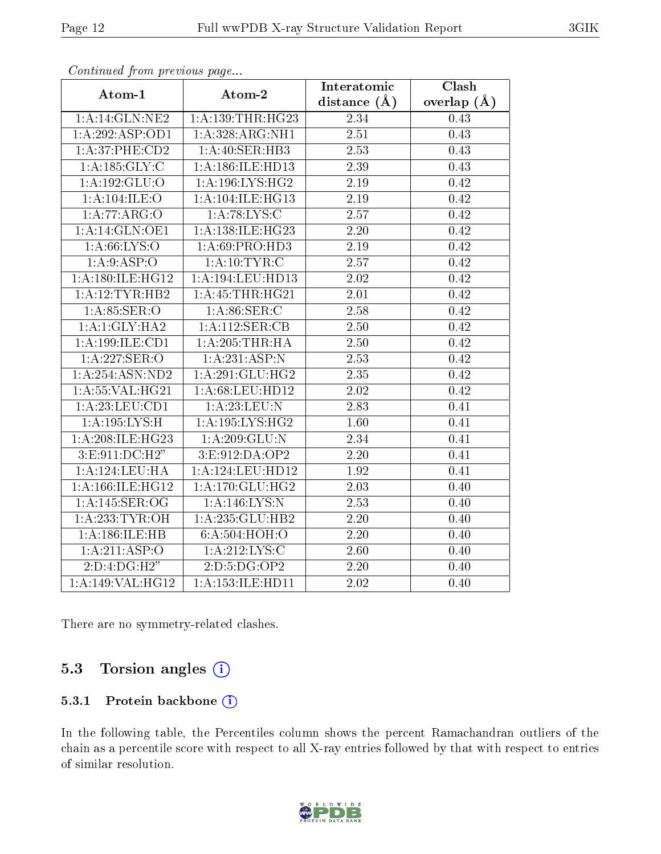|                    |                      | Interatomic       | Clash           |  |
|--------------------|----------------------|-------------------|-----------------|--|
| Atom-1             | Atom-2               | distance $(A)$    | overlap $(\AA)$ |  |
| 1: A:14: GLN:NE2   | 1: A: 139: THR: HG23 | 2.34              | 0.43            |  |
| 1:A:292:ASP:OD1    | 1:A:328:ARG:NH1      | $\overline{2.51}$ | 0.43            |  |
| 1:A:37:PHE:CD2     | 1:A:40:SER:HB3       | 2.53              | 0.43            |  |
| 1: A: 185: GLY: C  | 1: A:186: ILE: HD13  | 2.39              | 0.43            |  |
| 1:A:192:GLU:O      | 1:A:196:LYS:HG2      | 2.19              | 0.42            |  |
| 1: A: 104: ILE: O  | 1: A:104: ILE: HG13  | 2.19              | 0.42            |  |
| 1:A:77:ARG:O       | 1: A:78: LYS: C      | 2.57              | 0.42            |  |
| 1:A:14:GLN:OE1     | 1: A: 138: ILE: HG23 | 2.20              | 0.42            |  |
| 1: A:66: LYS:O     | 1:A:69:PRO:HD3       | $\overline{2}.19$ | 0.42            |  |
| 1: A:9: ASP:O      | 1: A: 10: TYR: C     | 2.57              | 0.42            |  |
| 1:A:180:ILE:HG12   | 1:A:194:LEU:HD13     | 2.02              | 0.42            |  |
| 1:A:12:TYR:HB2     | 1:A:45:THR:HG21      | 2.01              | 0.42            |  |
| 1:A:85:SER:O       | 1: A:86: SER: C      | 2.58              | 0.42            |  |
| 1:A:1:GLY:HA2      | $1:$ A:112:SER:CB    | 2.50              | 0.42            |  |
| 1:A:199:ILE:CD1    | 1: A:205:THR:HA      | 2.50              | 0.42            |  |
| 1:A:227:SER:O      | 1:A:231:ASP:N        | 2.53              | 0.42            |  |
| 1: A:254: ASN:ND2  | 1: A:291: GLU:HG2    | 2.35              | 0.42            |  |
| 1: A:55: VAL:HG21  | 1:A:68:LEU:HD12      | 2.02              | 0.42            |  |
| 1:A:23:LEU:CD1     | 1: A:23: LEU: N      | $\overline{2}.83$ | 0.41            |  |
| 1: A: 195: LYS: H  | 1: A: 195: LYS: HG2  | 1.60              | 0.41            |  |
| 1:A:208:ILE:HG23   | 1:A:209:GLU:N        | 2.34              | 0.41            |  |
| 3: E: 911:DC: H2"  | 3:E:912:DA:OP2       | 2.20              | 0.41            |  |
| 1: A: 124: LEU: HA | 1:A:124:LEU:HD12     | 1.92              | 0.41            |  |
| 1:A:166:ILE:HG12   | 1: A:170: GLU: HG2   | 2.03              | 0.40            |  |
| 1:A:145:SER:OG     | 1:A:146:LYS:N        | 2.53              | 0.40            |  |
| 1: A:233:TYR:OH    | 1:A:235:GLU:HB2      | 2.20              | 0.40            |  |
| 1:A:186:ILE:HB     | 6:A:504:HOH:O        | 2.20              | 0.40            |  |
| 1:A:211:ASP:O      | 1: A:212:LYS:C       | 2.60              | 0.40            |  |
| 2:D:4:DG:H2"       | 2:D:5:DG:OP2         | 2.20              | 0.40            |  |
| 1:A:149:VAL:HG12   | 1: A: 153: ILE: HD11 | 2.02              | 0.40            |  |

Continued from previous page...

There are no symmetry-related clashes.

### 5.3 Torsion angles (i)

#### 5.3.1 Protein backbone (i)

In the following table, the Percentiles column shows the percent Ramachandran outliers of the chain as a percentile score with respect to all X-ray entries followed by that with respect to entries of similar resolution.

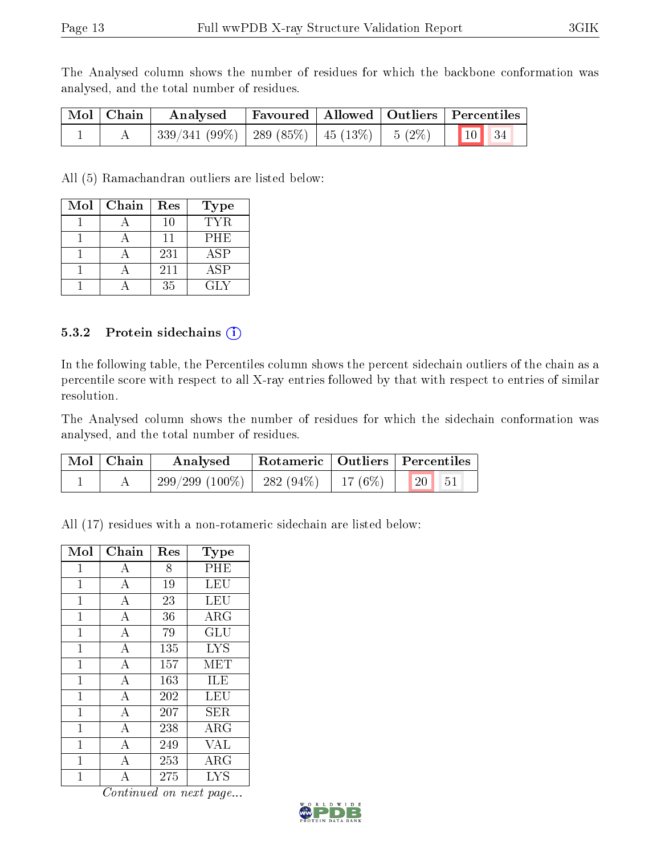The Analysed column shows the number of residues for which the backbone conformation was analysed, and the total number of residues.

| Mol Chain | Analysed Favoured   Allowed   Outliers   Percentiles                             |  |  |
|-----------|----------------------------------------------------------------------------------|--|--|
|           | $\mid$ 339/341 (99%) $\mid$ 289 (85%) $\mid$ 45 (13%) $\mid$ 5 (2%) $\mid$ 10 34 |  |  |

All (5) Ramachandran outliers are listed below:

| Mol | Chain | Res | <b>Type</b> |
|-----|-------|-----|-------------|
|     |       | 10  | TYR.        |
|     |       | 11  | PHE         |
|     |       | 231 | ASP         |
|     |       | 211 | ASP         |
|     |       | 35  | <b>GLY</b>  |

#### 5.3.2 Protein sidechains  $(i)$

In the following table, the Percentiles column shows the percent sidechain outliers of the chain as a percentile score with respect to all X-ray entries followed by that with respect to entries of similar resolution.

The Analysed column shows the number of residues for which the sidechain conformation was analysed, and the total number of residues.

| Mol   Chain | Analysed                      | Rotameric   Outliers   Percentiles |                                     |                       |  |
|-------------|-------------------------------|------------------------------------|-------------------------------------|-----------------------|--|
|             | $299/299(100\%)$   282 (94\%) |                                    | $\rightarrow$ 17 (6%) $\rightarrow$ | $\vert$ 20 $\vert$ 51 |  |

All (17) residues with a non-rotameric sidechain are listed below:

| Mol            | Chain              | Res | Type       |
|----------------|--------------------|-----|------------|
| 1              | A                  | 8   | PHE        |
| 1              | А                  | 19  | LEU        |
| $\mathbf{1}$   | $\bf{A}$           | 23  | LEU        |
| 1              | $\overline{A}$     | 36  | ARG        |
| $\mathbf{1}$   | $\bf{A}$           | 79  | GLU        |
| $\mathbf 1$    | $\overline{A}$     | 135 | <b>LYS</b> |
| $\mathbf{1}$   | $\bf{A}$           | 157 | <b>MET</b> |
| 1              | $\overline{\rm A}$ | 163 | ILE        |
| $\mathbf{1}$   | $\overline{A}$     | 202 | LEU        |
| $\overline{1}$ | $\overline{\rm A}$ | 207 | SER        |
| $\mathbf{1}$   | $\bf{A}$           | 238 | ARG        |
| 1              | $\overline{A}$     | 249 | VAL        |
| $\mathbf{1}$   | А                  | 253 | $\rm{ARG}$ |
| 1              | А                  | 275 | LYS        |

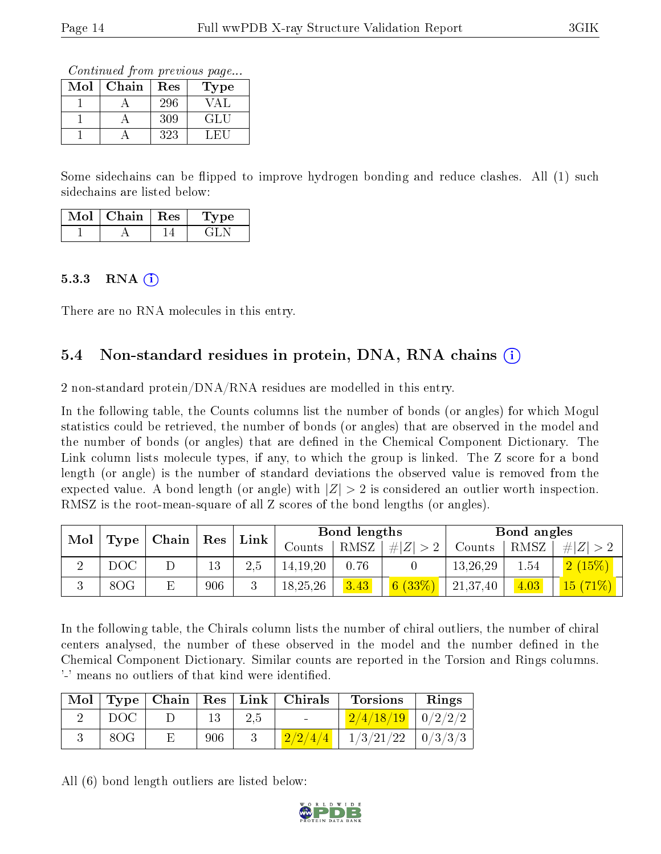Continued from previous page...

| $\operatorname{Mol}$ | Chain | Res | Type |
|----------------------|-------|-----|------|
|                      |       | 296 |      |
|                      |       | 309 | GLU  |
|                      |       | 323 |      |

Some sidechains can be flipped to improve hydrogen bonding and reduce clashes. All (1) such sidechains are listed below:

| $Mol$   Chain   Res | Type |  |
|---------------------|------|--|
|                     |      |  |

#### 5.3.3 RNA  $(i)$

There are no RNA molecules in this entry.

### 5.4 Non-standard residues in protein, DNA, RNA chains  $(i)$

2 non-standard protein/DNA/RNA residues are modelled in this entry.

In the following table, the Counts columns list the number of bonds (or angles) for which Mogul statistics could be retrieved, the number of bonds (or angles) that are observed in the model and the number of bonds (or angles) that are defined in the Chemical Component Dictionary. The Link column lists molecule types, if any, to which the group is linked. The Z score for a bond length (or angle) is the number of standard deviations the observed value is removed from the expected value. A bond length (or angle) with  $|Z| > 2$  is considered an outlier worth inspection. RMSZ is the root-mean-square of all Z scores of the bond lengths (or angles).

| Mol |      | Chain |     |      |            | Bond lengths |                            |          | Bond angles |            |
|-----|------|-------|-----|------|------------|--------------|----------------------------|----------|-------------|------------|
|     | Type |       | Res | Link | Counts     | <b>RMSZ</b>  | H Z                        | Counts   | RMSZ        | Z          |
|     | DOC  |       | 13  | 2.5  | 14, 19, 20 | 0.76         |                            | 13,26,29 | 1.54        |            |
|     | 8OG  |       | 906 |      | 18,25,26   | 3.43         | $(33\%)$<br>6 <sup>1</sup> | 21,37,40 | 4.03        | $15(71\%)$ |

In the following table, the Chirals column lists the number of chiral outliers, the number of chiral centers analysed, the number of these observed in the model and the number defined in the Chemical Component Dictionary. Similar counts are reported in the Torsion and Rings columns. '-' means no outliers of that kind were identified.

|      |     | Mol   Type   Chain   Res   Link   Chirals | <b>Torsions</b>                                                | Rings |
|------|-----|-------------------------------------------|----------------------------------------------------------------|-------|
| DOC. |     | <b>Contract Contract</b>                  | $\left\lfloor \frac{2}{4}/\frac{18}{19} \right\rfloor$ 0/2/2/2 |       |
| 8OG  | 906 |                                           | $\frac{2}{2}/\frac{2}{4}/4$   $1/3/21/22$   $0/3/3/3$          |       |

All (6) bond length outliers are listed below:

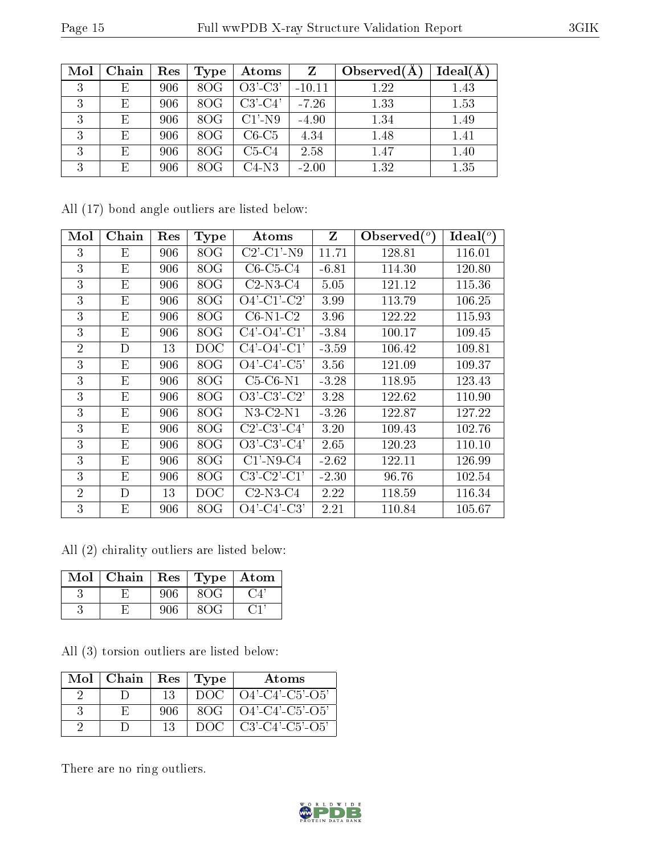| Mol | Chain | Res | Type | Atoms     | Z        | Observed $(A)$ | Ideal(A) |
|-----|-------|-----|------|-----------|----------|----------------|----------|
| 3   | E     | 906 | 8OG  | $O3'-C3'$ | $-10.11$ | 1.22           | 1.43     |
| 3   | E     | 906 | 8OG  | $C3'-C4'$ | $-7.26$  | 1.33           | 1.53     |
| 3   | E,    | 906 | 8OG  | $C1'$ -N9 | $-4.90$  | 1.34           | 1.49     |
| 3   | F,    | 906 | 8OG  | $C6-C5$   | 4.34     | 1.48           | 1.41     |
| 3   | E     | 906 | 8OG  | $C5-C4$   | 2.58     | 1.47           | 1.40     |
| 3   | E     | 906 | 80G  | $C4-N3$   | $-2.00$  | 1.32           | 1.35     |

All (17) bond angle outliers are listed below:

| Mol            | Chain | $\operatorname{Res}% \left( \mathcal{N}\right) \equiv\operatorname{Res}(\mathcal{N}_{0},\mathcal{N}_{0})$ | <b>Type</b>     | Atoms                                                            | Z       | Observed $\binom{o}{c}$ | Ideal $(^\circ)$ |
|----------------|-------|-----------------------------------------------------------------------------------------------------------|-----------------|------------------------------------------------------------------|---------|-------------------------|------------------|
| 3              | Ε     | 906                                                                                                       | 8OG             | $C2$ <sup>-</sup> $C1$ <sup>-</sup> $N9$                         | 11.71   | 128.81                  | 116.01           |
| 3              | Ε     | 906                                                                                                       | 8OG             | $C6-C5-C4$                                                       | $-6.81$ | 114.30                  | 120.80           |
| 3              | E     | 906                                                                                                       | 8OG             | $C2-N3-C4$                                                       | 5.05    | 121.12                  | 115.36           |
| 3              | E     | 906                                                                                                       | 8OG             | $O4'$ -C1'-C2'                                                   | 3.99    | 113.79                  | 106.25           |
| 3              | E     | 906                                                                                                       | 8OG             | $C6-N1-C2$                                                       | 3.96    | 122.22                  | 115.93           |
| 3              | E     | 906                                                                                                       | 8OG             | $C4'-O4'-C1'$                                                    | $-3.84$ | 100.17                  | 109.45           |
| $\overline{2}$ | D     | 13                                                                                                        | DOC             | $C4'-O4'-C1'$                                                    | $-3.59$ | 106.42                  | 109.81           |
| 3              | E     | 906                                                                                                       | 8OG             | $O4'$ -C4'-C5'                                                   | 3.56    | 121.09                  | 109.37           |
| 3              | Ε     | 906                                                                                                       | 8OG             | $C5-C6-N1$                                                       | $-3.28$ | 118.95                  | 123.43           |
| 3              | Ε     | 906                                                                                                       | 8OG             | $O3'-C3'-C2'$                                                    | 3.28    | 122.62                  | 110.90           |
| 3              | E     | 906                                                                                                       | 8OG             | $N3-C2-N1$                                                       | $-3.26$ | 122.87                  | 127.22           |
| 3              | E     | 906                                                                                                       | 8OG             | $C2$ <sup>'</sup> -C <sub>3</sub> <sup>'</sup> -C <sub>4</sub> ' | 3.20    | 109.43                  | 102.76           |
| 3              | E     | 906                                                                                                       | 8OG             | $O3'-C3'-C4'$                                                    | 2.65    | 120.23                  | 110.10           |
| 3              | E     | 906                                                                                                       | 8OG             | $C1'$ -N9-C4                                                     | $-2.62$ | 122.11                  | 126.99           |
| 3              | E     | 906                                                                                                       | 8OG             | $C3'-C2'-C1'$                                                    | $-2.30$ | 96.76                   | 102.54           |
| $\overline{2}$ | D     | 13                                                                                                        | $_{\text{DOC}}$ | $C2-N3-C4$                                                       | 2.22    | 118.59                  | 116.34           |
| 3              | E     | 906                                                                                                       | 8OG             | $O4'$ -C4'-C3'                                                   | 2.21    | 110.84                  | 105.67           |

All (2) chirality outliers are listed below:

| Mol | $\mid$ Chain |     | $\operatorname{Res}$   $\operatorname{Type}$ | Atom |
|-----|--------------|-----|----------------------------------------------|------|
|     |              | 906 | 80G                                          |      |
|     |              | 906 | 80G                                          |      |

All (3) torsion outliers are listed below:

| Mol | Chain | Res | Type | Atoms              |
|-----|-------|-----|------|--------------------|
|     |       | 13  | -DOC | $O4'$ -C4'-C5'-O5' |
|     |       | 906 | 80G  | $O4'$ -C4'-C5'-O5' |
|     |       |     | DOC  | $C3'-C4'-C5'-O5'$  |

There are no ring outliers.

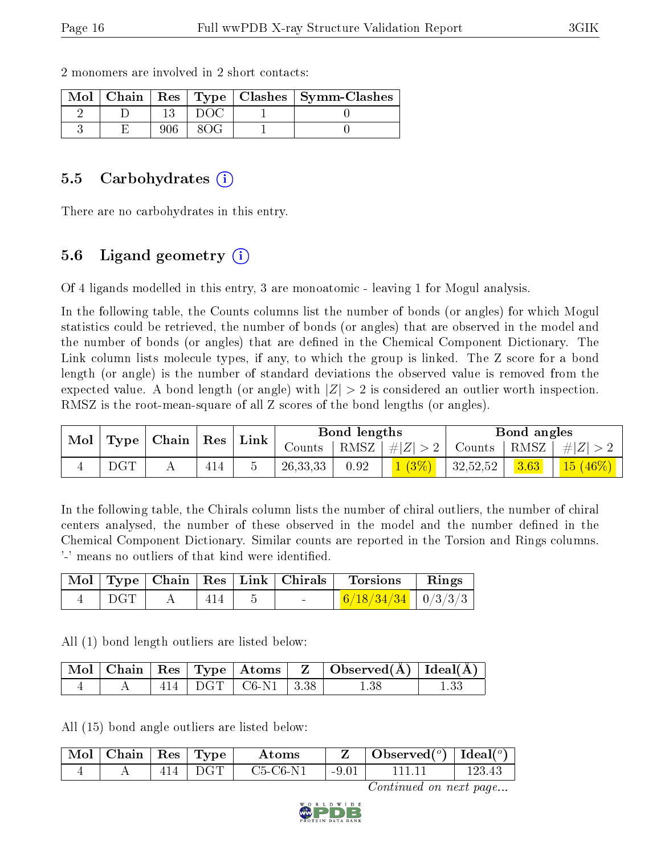|  |  | Mol   Chain   Res   Type   Clashes   Symm-Clashes |
|--|--|---------------------------------------------------|
|  |  |                                                   |
|  |  |                                                   |

2 monomers are involved in 2 short contacts:

#### 5.5 Carbohydrates (i)

There are no carbohydrates in this entry.

### 5.6 Ligand geometry (i)

Of 4 ligands modelled in this entry, 3 are monoatomic - leaving 1 for Mogul analysis.

In the following table, the Counts columns list the number of bonds (or angles) for which Mogul statistics could be retrieved, the number of bonds (or angles) that are observed in the model and the number of bonds (or angles) that are defined in the Chemical Component Dictionary. The Link column lists molecule types, if any, to which the group is linked. The Z score for a bond length (or angle) is the number of standard deviations the observed value is removed from the expected value. A bond length (or angle) with  $|Z| > 2$  is considered an outlier worth inspection. RMSZ is the root-mean-square of all Z scores of the bond lengths (or angles).

| Mol | Type              | $\mid$ Chain $\mid$ |     | $\perp$ $\operatorname{Res} \perp \operatorname{Link}$ | Bond lengths |      |         | Bond angles |      |               |
|-----|-------------------|---------------------|-----|--------------------------------------------------------|--------------|------|---------|-------------|------|---------------|
|     |                   |                     |     |                                                        | Counts -     | RMSZ | #Z  > 2 | Counts      | RMSZ | $\pm  Z  > 2$ |
|     | $_{\mathrm{DGT}}$ |                     | 414 |                                                        | 26, 33, 33   | 0.92 | 1(3%)   | 32,52,52    | 3.63 | $15(46\%)$    |

In the following table, the Chirals column lists the number of chiral outliers, the number of chiral centers analysed, the number of these observed in the model and the number defined in the Chemical Component Dictionary. Similar counts are reported in the Torsion and Rings columns. '-' means no outliers of that kind were identified.

|     |      | Mol   Type   Chain   Res   Link   Chirals | Torsions               | Rings |
|-----|------|-------------------------------------------|------------------------|-------|
| DGT | 1414 | <b>Contract Contract</b>                  | $6/18/34/34$   0/3/3/3 |       |

All (1) bond length outliers are listed below:

|  |  |                             | $\mid$ Mol $\mid$ Chain $\mid$ Res $\mid$ Type $\mid$ Atoms $\mid$ Z $\mid$ Observed(Å) $\mid$ Ideal(Å) $\mid$ |  |
|--|--|-----------------------------|----------------------------------------------------------------------------------------------------------------|--|
|  |  | $-414$   DGT   C6-N1   3.38 | 1.38                                                                                                           |  |

All (15) bond angle outliers are listed below:

| $\mid$ Mol $\mid$ Chain $\mid$ |     | $\mid$ Res $\mid$ Type | Atoms    |       | $\mid$ Observed( $^o$ ) $\mid$ Ideal( $^o$ ) $\mid$ |  |
|--------------------------------|-----|------------------------|----------|-------|-----------------------------------------------------|--|
|                                | 114 | D.C.T                  | C5-C6-N1 | -9.01 |                                                     |  |

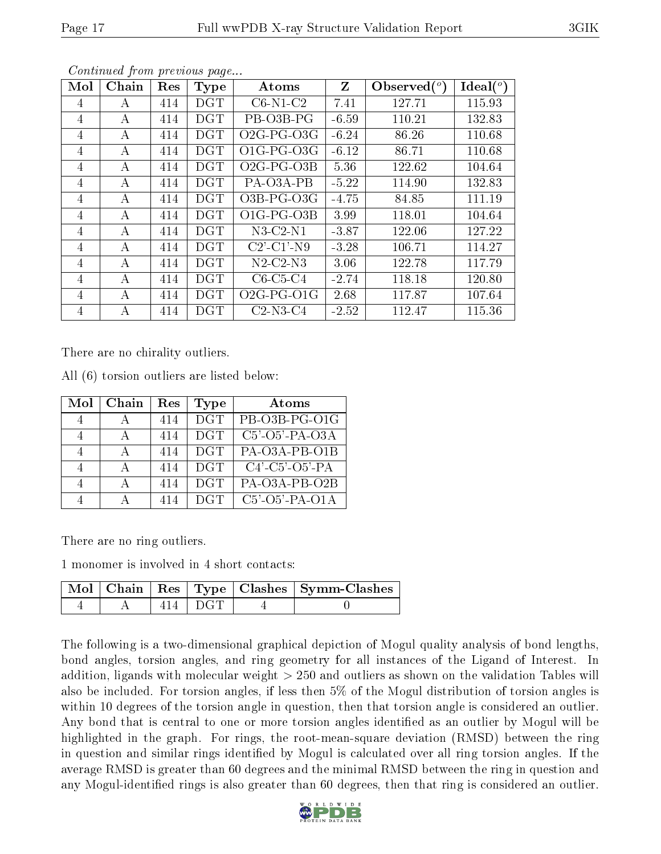| Mol            | Chain | Res | <b>Type</b> | Atoms                       | Z       | $\text{Observed}(^o)$ | Ideal $(°)$ |
|----------------|-------|-----|-------------|-----------------------------|---------|-----------------------|-------------|
| 4              | A     | 414 | <b>DGT</b>  | $C6-N1-C2$                  | 7.41    | 127.71                | 115.93      |
| 4              | А     | 414 | <b>DGT</b>  | PB-O3B-PG                   | $-6.59$ | 110.21                | 132.83      |
| 4              | A     | 414 | <b>DGT</b>  | $O2G-PG-O3G$                | $-6.24$ | 86.26                 | 110.68      |
| 4              | А     | 414 | <b>DGT</b>  | $O1G-PG-OSG$                | $-6.12$ | 86.71                 | 110.68      |
| 4              | А     | 414 | <b>DGT</b>  | $O2G-PG-O3B$                | 5.36    | 122.62                | 104.64      |
| 4              | А     | 414 | <b>DGT</b>  | PA-O3A-PB                   | $-5.22$ | 114.90                | 132.83      |
| 4              | А     | 414 | <b>DGT</b>  | O3B-PG-O3G                  | $-4.75$ | 84.85                 | 111.19      |
| $\overline{4}$ | А     | 414 | <b>DGT</b>  | $O1G-PG-O3B$                | 3.99    | 118.01                | 104.64      |
| 4              | А     | 414 | <b>DGT</b>  | $N3$ -C2- $N1$              | $-3.87$ | 122.06                | 127.22      |
| 4              | А     | 414 | <b>DGT</b>  | $C2'$ - $C1'$ -N9           | $-3.28$ | 106.71                | 114.27      |
| 4              | A     | 414 | <b>DGT</b>  | $N2$ -C <sub>2</sub> - $N3$ | 3.06    | 122.78                | 117.79      |
| 4              | А     | 414 | <b>DGT</b>  | $C6-C5-C4$                  | $-2.74$ | 118.18                | 120.80      |
| 4              | А     | 414 | <b>DGT</b>  | $O2G-PG-O1G$                | 2.68    | 117.87                | 107.64      |
| 4              | А     | 414 | <b>DGT</b>  | $C2-N3-C4$                  | $-2.52$ | 112.47                | 115.36      |

Continued from previous page...

There are no chirality outliers.

All (6) torsion outliers are listed below:

| Mol | Chain | Res | Type             | Atoms                        |
|-----|-------|-----|------------------|------------------------------|
|     |       | 414 | $\overline{DGT}$ | $PB-O3B-PG-O1G$              |
|     |       | 414 | <b>DGT</b>       | $C5'$ -O5'-PA-O3A            |
|     |       | 414 | <b>DGT</b>       | PA-O3A-PB-O1B                |
|     |       | 414 | DGT              | $C4'-C5'-O5'-PA$             |
|     |       | 414 | DGT              | PA-O3A-PB-O2B                |
|     |       | 414 | DGT              | $\overline{C5'}$ -O5'-PA-O1A |

There are no ring outliers.

1 monomer is involved in 4 short contacts:

|  |             | $\boxed{\text{Mol} \mid \text{Chain} \mid \text{Res} \mid \text{Type} \mid \text{Class} \mid \text{Symm-Class}}$ |
|--|-------------|------------------------------------------------------------------------------------------------------------------|
|  | $414 + DGT$ |                                                                                                                  |

The following is a two-dimensional graphical depiction of Mogul quality analysis of bond lengths, bond angles, torsion angles, and ring geometry for all instances of the Ligand of Interest. In addition, ligands with molecular weight > 250 and outliers as shown on the validation Tables will also be included. For torsion angles, if less then 5% of the Mogul distribution of torsion angles is within 10 degrees of the torsion angle in question, then that torsion angle is considered an outlier. Any bond that is central to one or more torsion angles identified as an outlier by Mogul will be highlighted in the graph. For rings, the root-mean-square deviation (RMSD) between the ring in question and similar rings identified by Mogul is calculated over all ring torsion angles. If the average RMSD is greater than 60 degrees and the minimal RMSD between the ring in question and any Mogul-identified rings is also greater than 60 degrees, then that ring is considered an outlier.

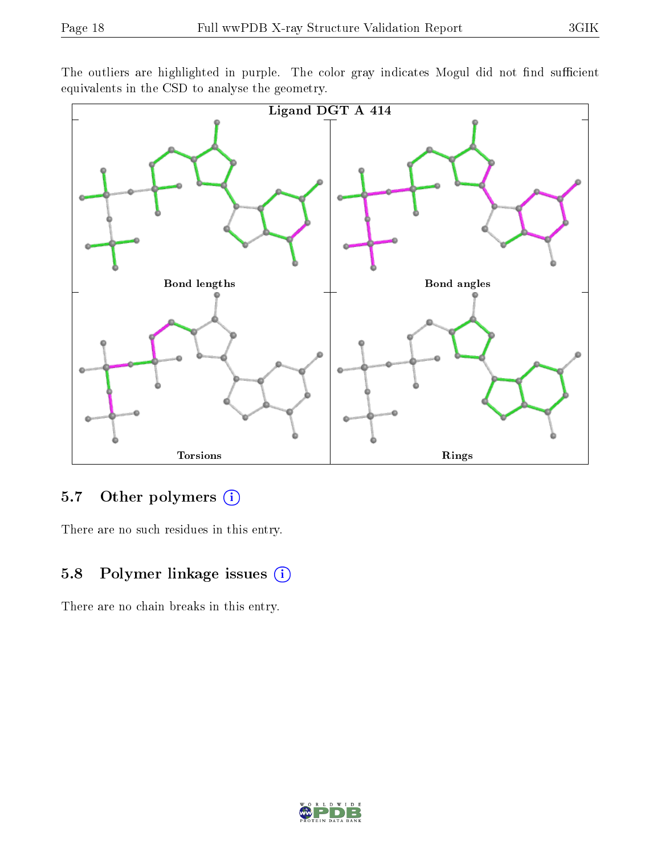The outliers are highlighted in purple. The color gray indicates Mogul did not find sufficient equivalents in the CSD to analyse the geometry.



### 5.7 [O](https://www.wwpdb.org/validation/2017/XrayValidationReportHelp#nonstandard_residues_and_ligands)ther polymers (i)

There are no such residues in this entry.

### 5.8 Polymer linkage issues (i)

There are no chain breaks in this entry.

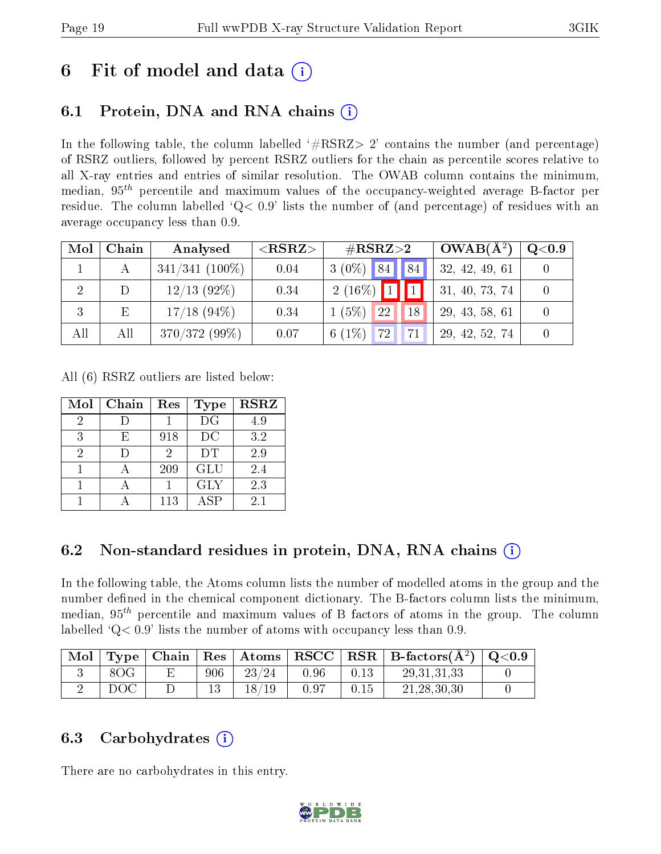# 6 Fit of model and data  $\circ$

## 6.1 Protein, DNA and RNA chains (i)

In the following table, the column labelled  $#RSRZ>2'$  contains the number (and percentage) of RSRZ outliers, followed by percent RSRZ outliers for the chain as percentile scores relative to all X-ray entries and entries of similar resolution. The OWAB column contains the minimum, median,  $95<sup>th</sup>$  percentile and maximum values of the occupancy-weighted average B-factor per residue. The column labelled  $Q< 0.9$  lists the number of (and percentage) of residues with an average occupancy less than 0.9.

| Mol | Chain | Analysed          | ${ <\hspace{-1.5pt}{\mathrm{RSRZ}} \hspace{-1.5pt}>}$ | $\#\text{RSRZ}{>}2$                | $OWAB(A^2)$    | $\rm Q\textcolor{black}{<}0.9$ |
|-----|-------|-------------------|-------------------------------------------------------|------------------------------------|----------------|--------------------------------|
|     |       | $341/341$ (100\%) | 0.04                                                  | 84 <br>$3(0\%)$ 84                 | 32, 42, 49, 61 |                                |
| 2   |       | $12/13$ (92%)     | 0.34                                                  | $2(16\%)$ 1                        | 31, 40, 73, 74 |                                |
| 3   | E     | $17/18$ (94\%)    | 0.34                                                  | $1(5\%)$<br>22<br>18               | 29, 43, 58, 61 |                                |
| All | All   | $370/372(99\%)$   | 0.07                                                  | 6 $(1\%)$<br>72 <sup>1</sup><br>71 | 29, 42, 52, 74 |                                |

All (6) RSRZ outliers are listed below:

| Mol | Chain | Res | <b>Type</b> | <b>RSRZ</b> |
|-----|-------|-----|-------------|-------------|
|     |       |     | DG          | 4.9         |
| 3   | Н,    | 918 | DC          | 3.2         |
| 2   |       | 2   | DT          | 2.9         |
|     |       | 209 | GLU         | 2.4         |
|     |       |     | <b>GLY</b>  | 2.3         |
|     |       | 113 | A SP        | 2.1         |

### 6.2 Non-standard residues in protein, DNA, RNA chains  $(i)$

In the following table, the Atoms column lists the number of modelled atoms in the group and the number defined in the chemical component dictionary. The B-factors column lists the minimum, median,  $95<sup>th</sup>$  percentile and maximum values of B factors of atoms in the group. The column labelled  $Q< 0.9$ ' lists the number of atoms with occupancy less than 0.9.

| Mol |     |     |       |      |      | $\langle$ Type   Chain   Res   Atoms   RSCC   RSR   B-factors $(\AA^2)$   Q<0.9 |  |
|-----|-----|-----|-------|------|------|---------------------------------------------------------------------------------|--|
|     | 8OG | 906 | 23/24 | 0.96 | 0.13 | 29.31.31.33                                                                     |  |
|     | DOC |     | 18/19 | 0.97 | 0.15 | 21, 28, 30, 30                                                                  |  |

### 6.3 Carbohydrates  $(i)$

There are no carbohydrates in this entry.